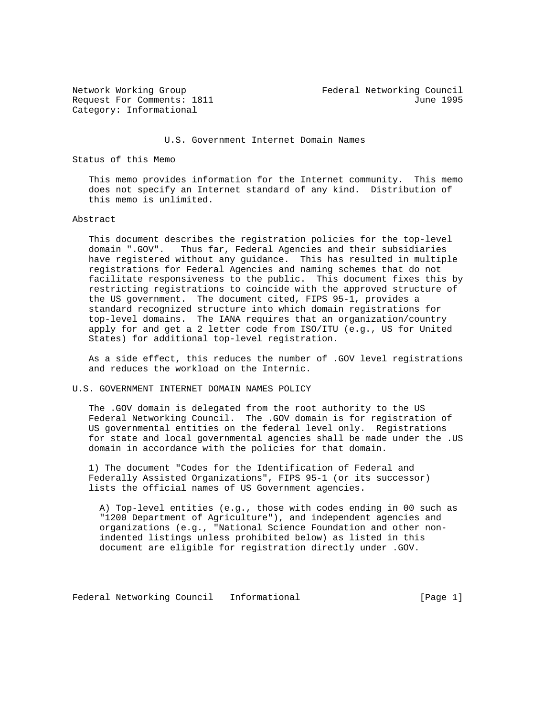Category: Informational

Network Working Group Federal Networking Council Request For Comments: 1811 June 1995

## U.S. Government Internet Domain Names

Status of this Memo

 This memo provides information for the Internet community. This memo does not specify an Internet standard of any kind. Distribution of this memo is unlimited.

## Abstract

 This document describes the registration policies for the top-level domain ".GOV". Thus far, Federal Agencies and their subsidiaries have registered without any guidance. This has resulted in multiple registrations for Federal Agencies and naming schemes that do not facilitate responsiveness to the public. This document fixes this by restricting registrations to coincide with the approved structure of the US government. The document cited, FIPS 95-1, provides a standard recognized structure into which domain registrations for top-level domains. The IANA requires that an organization/country apply for and get a 2 letter code from ISO/ITU (e.g., US for United States) for additional top-level registration.

 As a side effect, this reduces the number of .GOV level registrations and reduces the workload on the Internic.

## U.S. GOVERNMENT INTERNET DOMAIN NAMES POLICY

 The .GOV domain is delegated from the root authority to the US Federal Networking Council. The .GOV domain is for registration of US governmental entities on the federal level only. Registrations for state and local governmental agencies shall be made under the .US domain in accordance with the policies for that domain.

 1) The document "Codes for the Identification of Federal and Federally Assisted Organizations", FIPS 95-1 (or its successor) lists the official names of US Government agencies.

 A) Top-level entities (e.g., those with codes ending in 00 such as "1200 Department of Agriculture"), and independent agencies and organizations (e.g., "National Science Foundation and other non indented listings unless prohibited below) as listed in this document are eligible for registration directly under .GOV.

Federal Networking Council Informational [Page 1]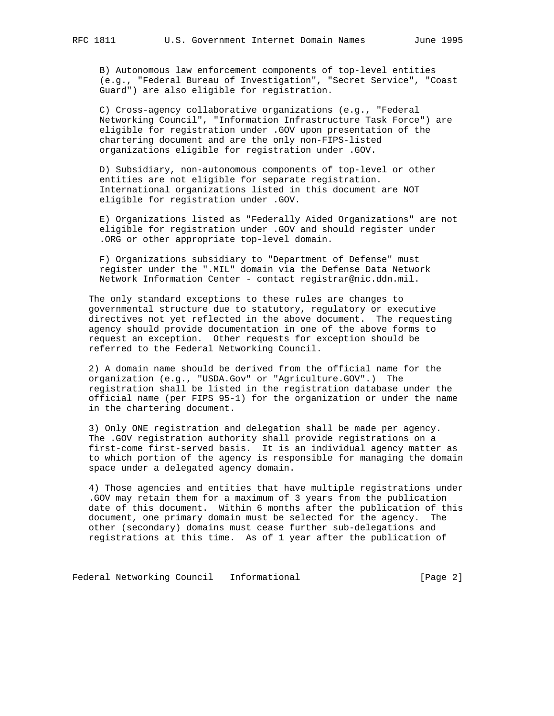B) Autonomous law enforcement components of top-level entities (e.g., "Federal Bureau of Investigation", "Secret Service", "Coast Guard") are also eligible for registration.

 C) Cross-agency collaborative organizations (e.g., "Federal Networking Council", "Information Infrastructure Task Force") are eligible for registration under .GOV upon presentation of the chartering document and are the only non-FIPS-listed organizations eligible for registration under .GOV.

 D) Subsidiary, non-autonomous components of top-level or other entities are not eligible for separate registration. International organizations listed in this document are NOT eligible for registration under .GOV.

 E) Organizations listed as "Federally Aided Organizations" are not eligible for registration under .GOV and should register under .ORG or other appropriate top-level domain.

 F) Organizations subsidiary to "Department of Defense" must register under the ".MIL" domain via the Defense Data Network Network Information Center - contact registrar@nic.ddn.mil.

 The only standard exceptions to these rules are changes to governmental structure due to statutory, regulatory or executive directives not yet reflected in the above document. The requesting agency should provide documentation in one of the above forms to request an exception. Other requests for exception should be referred to the Federal Networking Council.

 2) A domain name should be derived from the official name for the organization (e.g., "USDA.Gov" or "Agriculture.GOV".) The registration shall be listed in the registration database under the official name (per FIPS 95-1) for the organization or under the name in the chartering document.

 3) Only ONE registration and delegation shall be made per agency. The .GOV registration authority shall provide registrations on a first-come first-served basis. It is an individual agency matter as to which portion of the agency is responsible for managing the domain space under a delegated agency domain.

 4) Those agencies and entities that have multiple registrations under .GOV may retain them for a maximum of 3 years from the publication date of this document. Within 6 months after the publication of this document, one primary domain must be selected for the agency. The other (secondary) domains must cease further sub-delegations and registrations at this time. As of 1 year after the publication of

Federal Networking Council Informational 1999 [Page 2]